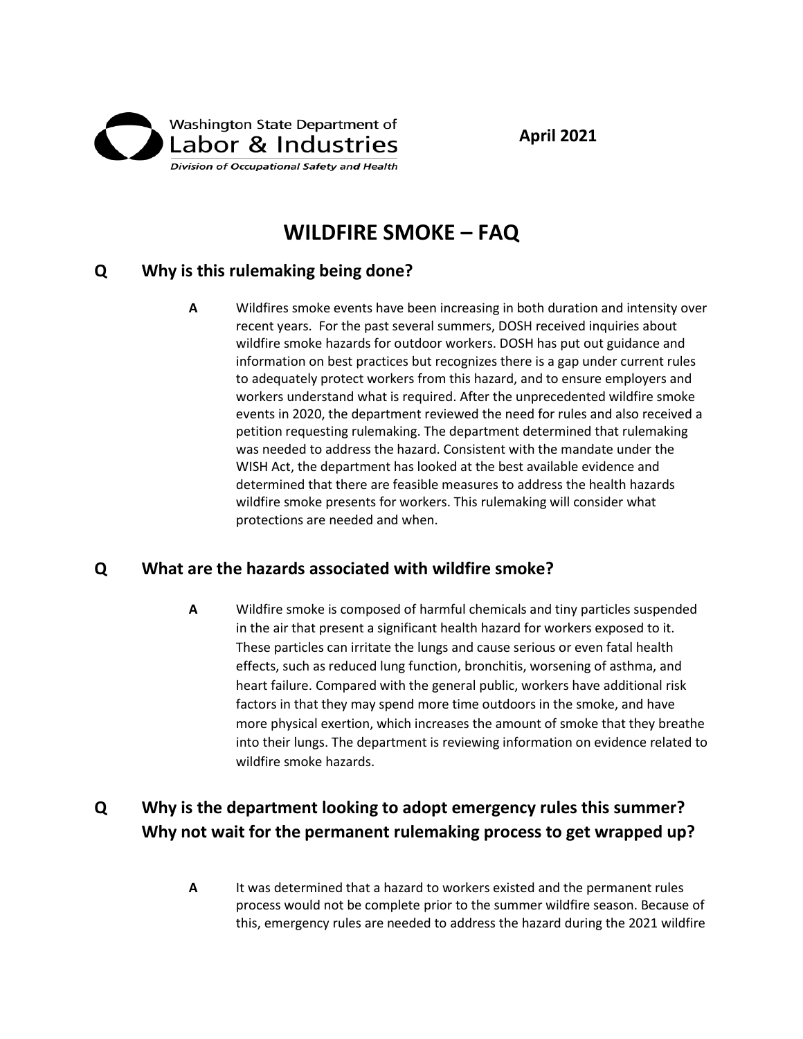

# **WILDFIRE SMOKE – FAQ**

#### **Q Why is this rulemaking being done?**

**A** Wildfires smoke events have been increasing in both duration and intensity over recent years. For the past several summers, DOSH received inquiries about wildfire smoke hazards for outdoor workers. DOSH has put out guidance and information on best practices but recognizes there is a gap under current rules to adequately protect workers from this hazard, and to ensure employers and workers understand what is required. After the unprecedented wildfire smoke events in 2020, the department reviewed the need for rules and also received a petition requesting rulemaking. The department determined that rulemaking was needed to address the hazard. Consistent with the mandate under the WISH Act, the department has looked at the best available evidence and determined that there are feasible measures to address the health hazards wildfire smoke presents for workers. This rulemaking will consider what protections are needed and when.

### **Q What are the hazards associated with wildfire smoke?**

**A** Wildfire smoke is composed of harmful chemicals and tiny particles suspended in the air that present a significant health hazard for workers exposed to it. These particles can irritate the lungs and cause serious or even fatal health effects, such as reduced lung function, bronchitis, worsening of asthma, and heart failure. Compared with the general public, workers have additional risk factors in that they may spend more time outdoors in the smoke, and have more physical exertion, which increases the amount of smoke that they breathe into their lungs. The department is reviewing information on evidence related to wildfire smoke hazards.

## **Q Why is the department looking to adopt emergency rules this summer? Why not wait for the permanent rulemaking process to get wrapped up?**

**A** It was determined that a hazard to workers existed and the permanent rules process would not be complete prior to the summer wildfire season. Because of this, emergency rules are needed to address the hazard during the 2021 wildfire